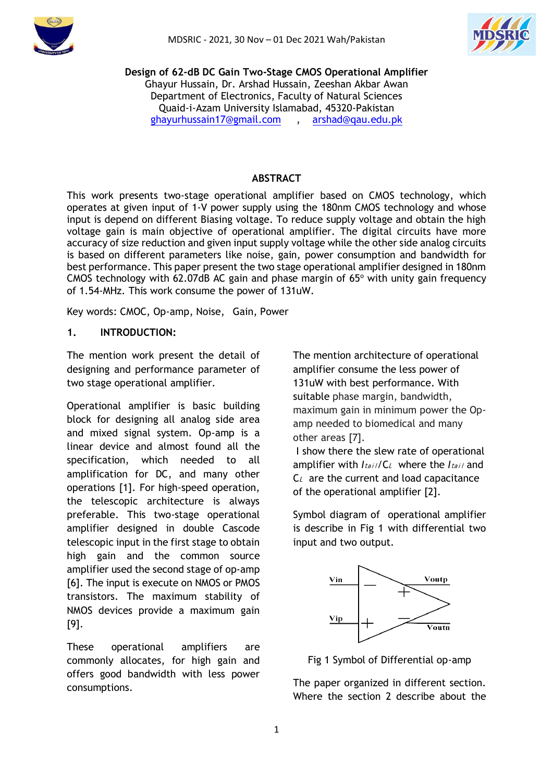



**Design of 62-dB DC Gain Two-Stage CMOS Operational Amplifier** Ghayur Hussain, Dr. Arshad Hussain, Zeeshan Akbar Awan Department of Electronics, Faculty of Natural Sciences Quaid-i-Azam University Islamabad, 45320-Pakistan [ghayurhussain17@gmail.com](mailto:ghayurhussain17@gmail.com) , [arshad@qau.edu.pk](mailto:arshad@qau.edu.pk)

#### **ABSTRACT**

This work presents two-stage operational amplifier based on CMOS technology, which operates at given input of 1-V power supply using the 180nm CMOS technology and whose input is depend on different Biasing voltage. To reduce supply voltage and obtain the high voltage gain is main objective of operational amplifier. The digital circuits have more accuracy of size reduction and given input supply voltage while the other side analog circuits is based on different parameters like noise, gain, power consumption and bandwidth for best performance. This paper present the two stage operational amplifier designed in 180nm CMOS technology with 62.07dB AC gain and phase margin of  $65^{\circ}$  with unity gain frequency of 1.54-MHz. This work consume the power of 131uW.

Key words: CMOC, Op-amp, Noise, Gain, Power

# **1. INTRODUCTION:**

The mention work present the detail of designing and performance parameter of two stage operational amplifier.

Operational amplifier is basic building block for designing all analog side area and mixed signal system. Op-amp is a linear device and almost found all the specification, which needed to all amplification for DC, and many other operations [1]. For high-speed operation, the telescopic architecture is always preferable. This two-stage operational amplifier designed in double Cascode telescopic input in the first stage to obtain high gain and the common source amplifier used the second stage of op-amp [6]. The input is execute on NMOS or PMOS transistors. The maximum stability of NMOS devices provide a maximum gain [9].

These operational amplifiers are commonly allocates, for high gain and offers good bandwidth with less power consumptions.

The mention architecture of operational amplifier consume the less power of 131uW with best performance. With suitable phase margin, bandwidth, maximum gain in minimum power the Opamp needed to biomedical and many other areas [7].

I show there the slew rate of operational amplifier with *Itail/C*, where the *Itail* and  $C_L$  are the current and load capacitance of the operational amplifier [2].

Symbol diagram of operational amplifier is describe in Fig 1 with differential two input and two output.



Fig 1 Symbol of Differential op-amp

The paper organized in different section. Where the section 2 describe about the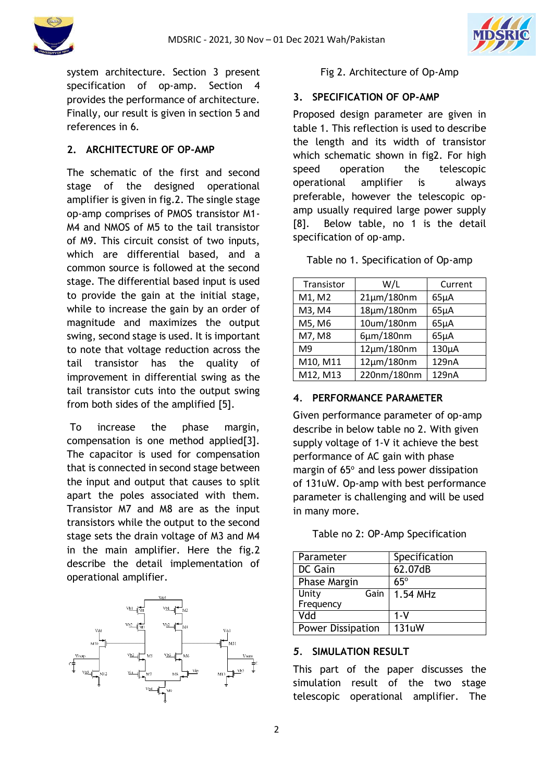



system architecture. Section 3 present specification of op-amp. Section 4 provides the performance of architecture. Finally, our result is given in section 5 and references in 6.

# **2. ARCHITECTURE OF OP-AMP**

The schematic of the first and second stage of the designed operational amplifier is given in fig.2. The single stage op-amp comprises of PMOS transistor M1- M4 and NMOS of M5 to the tail transistor of M9. This circuit consist of two inputs, which are differential based, and a common source is followed at the second stage. The differential based input is used to provide the gain at the initial stage, while to increase the gain by an order of magnitude and maximizes the output swing, second stage is used. It is important to note that voltage reduction across the tail transistor has the quality of improvement in differential swing as the tail transistor cuts into the output swing from both sides of the amplified [5].

To increase the phase margin, compensation is one method applied[3]. The capacitor is used for compensation that is connected in second stage between the input and output that causes to split apart the poles associated with them. Transistor M7 and M8 are as the input transistors while the output to the second stage sets the drain voltage of M3 and M4 in the main amplifier. Here the fig.2 describe the detail implementation of operational amplifier.



### Fig 2. Architecture of Op-Amp

#### **3. SPECIFICATION OF OP-AMP**

Proposed design parameter are given in table 1. This reflection is used to describe the length and its width of transistor which schematic shown in fig2. For high speed operation the telescopic operational amplifier is always preferable, however the telescopic opamp usually required large power supply [8]. Below table, no 1 is the detail specification of op-amp.

Table no 1. Specification of Op-amp

| Transistor     | W/L               | Current   |
|----------------|-------------------|-----------|
| M1, M2         | $21 \mu m/180$ nm | $65\mu A$ |
| M3, M4         | 18µm/180nm        | $65\mu A$ |
| M5, M6         | 10um/180nm        | $65\mu A$ |
| M7, M8         | 6µm/180nm         | $65\mu A$ |
| M <sub>9</sub> | $12 \mu m/180$ nm | 130µA     |
| M10, M11       | $12\mu m/180$ nm  | 129nA     |
| M12, M13       | 220nm/180nm       | 129nA     |

# **4***.* **PERFORMANCE PARAMETER**

Given performance parameter of op-amp describe in below table no 2. With given supply voltage of 1-V it achieve the best performance of AC gain with phase margin of  $65^\circ$  and less power dissipation of 131uW. Op-amp with best performance parameter is challenging and will be used in many more.

|  |  |  | Table no 2: OP-Amp Specification |
|--|--|--|----------------------------------|
|--|--|--|----------------------------------|

| Parameter                | Specification |
|--------------------------|---------------|
| DC Gain                  | 62.07dB       |
| Phase Margin             | $65^\circ$    |
| Unity<br>Gain            | 1.54 MHz      |
| Frequency                |               |
| Vdd                      | 1-V           |
| <b>Power Dissipation</b> | <b>131uW</b>  |

# *5.* **SIMULATION RESULT**

This part of the paper discusses the simulation result of the two stage telescopic operational amplifier. The